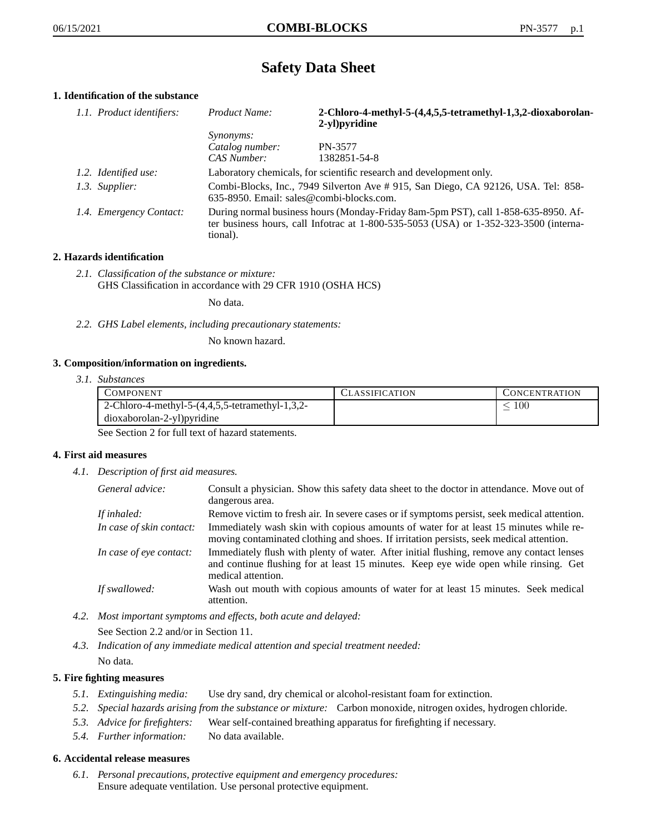# **Safety Data Sheet**

# **1. Identification of the substance**

| 1.1. Product identifiers: | Product Name:                                                                                                                                                                           | 2-Chloro-4-methyl-5-(4,4,5,5-tetramethyl-1,3,2-dioxaborolan-<br>2-yl)pyridine |
|---------------------------|-----------------------------------------------------------------------------------------------------------------------------------------------------------------------------------------|-------------------------------------------------------------------------------|
|                           | Synonyms:                                                                                                                                                                               |                                                                               |
|                           | Catalog number:                                                                                                                                                                         | PN-3577                                                                       |
|                           | CAS Number:                                                                                                                                                                             | 1382851-54-8                                                                  |
| 1.2. Identified use:      | Laboratory chemicals, for scientific research and development only.                                                                                                                     |                                                                               |
| 1.3. Supplier:            | Combi-Blocks, Inc., 7949 Silverton Ave #915, San Diego, CA 92126, USA. Tel: 858-<br>$635-8950$ . Email: sales@combi-blocks.com.                                                         |                                                                               |
| 1.4. Emergency Contact:   | During normal business hours (Monday-Friday 8am-5pm PST), call 1-858-635-8950. Af-<br>ter business hours, call Infotrac at 1-800-535-5053 (USA) or 1-352-323-3500 (interna-<br>tional). |                                                                               |

# **2. Hazards identification**

*2.1. Classification of the substance or mixture:* GHS Classification in accordance with 29 CFR 1910 (OSHA HCS)

No data.

*2.2. GHS Label elements, including precautionary statements:*

No known hazard.

#### **3. Composition/information on ingredients.**

*3.1. Substances*

| <b>COMPONENT</b>                                | CLASSIFICATION | <b>CONCENTRATION</b> |
|-------------------------------------------------|----------------|----------------------|
| 2-Chloro-4-methyl-5-(4,4,5,5-tetramethyl-1,3,2- |                | 100                  |
| dioxaborolan-2-yl)pyridine                      |                |                      |

See Section 2 for full text of hazard statements.

#### **4. First aid measures**

*4.1. Description of first aid measures.*

| General advice:          | Consult a physician. Show this safety data sheet to the doctor in attendance. Move out of<br>dangerous area.                                                                                            |
|--------------------------|---------------------------------------------------------------------------------------------------------------------------------------------------------------------------------------------------------|
| If inhaled:              | Remove victim to fresh air. In severe cases or if symptoms persist, seek medical attention.                                                                                                             |
| In case of skin contact: | Immediately wash skin with copious amounts of water for at least 15 minutes while re-<br>moving contaminated clothing and shoes. If irritation persists, seek medical attention.                        |
| In case of eye contact:  | Immediately flush with plenty of water. After initial flushing, remove any contact lenses<br>and continue flushing for at least 15 minutes. Keep eye wide open while rinsing. Get<br>medical attention. |
| If swallowed:            | Wash out mouth with copious amounts of water for at least 15 minutes. Seek medical<br>attention.                                                                                                        |

- *4.2. Most important symptoms and effects, both acute and delayed:* See Section 2.2 and/or in Section 11.
- *4.3. Indication of any immediate medical attention and special treatment needed:* No data.

### **5. Fire fighting measures**

- *5.1. Extinguishing media:* Use dry sand, dry chemical or alcohol-resistant foam for extinction.
- *5.2. Special hazards arising from the substance or mixture:* Carbon monoxide, nitrogen oxides, hydrogen chloride.
- *5.3. Advice for firefighters:* Wear self-contained breathing apparatus for firefighting if necessary.
- *5.4. Further information:* No data available.

#### **6. Accidental release measures**

*6.1. Personal precautions, protective equipment and emergency procedures:* Ensure adequate ventilation. Use personal protective equipment.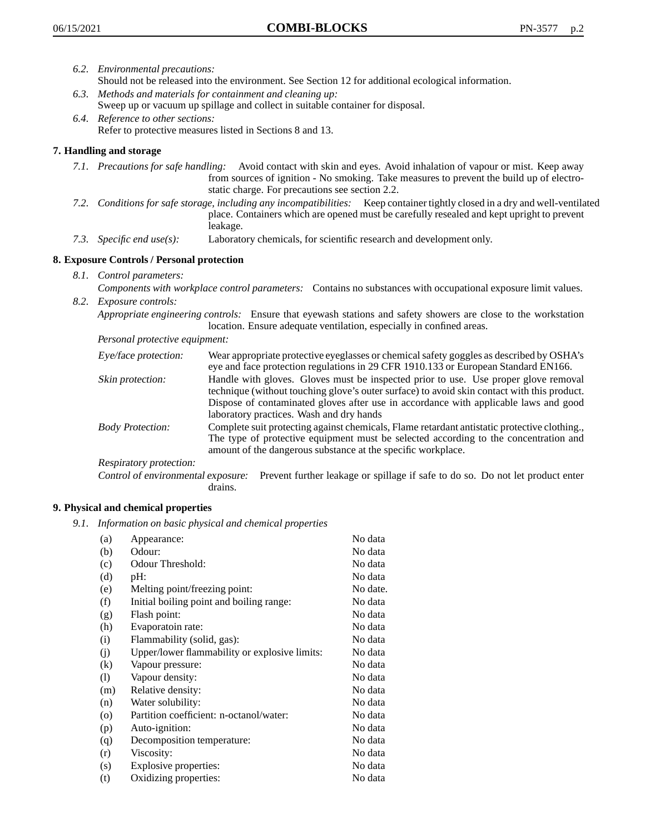- *6.2. Environmental precautions:* Should not be released into the environment. See Section 12 for additional ecological information.
- *6.3. Methods and materials for containment and cleaning up:* Sweep up or vacuum up spillage and collect in suitable container for disposal.
- *6.4. Reference to other sections:* Refer to protective measures listed in Sections 8 and 13.

# **7. Handling and storage**

- *7.1. Precautions for safe handling:* Avoid contact with skin and eyes. Avoid inhalation of vapour or mist. Keep away from sources of ignition - No smoking. Take measures to prevent the build up of electrostatic charge. For precautions see section 2.2.
- *7.2. Conditions for safe storage, including any incompatibilities:* Keep container tightly closed in a dry and well-ventilated place. Containers which are opened must be carefully resealed and kept upright to prevent leakage.
- *7.3. Specific end use(s):* Laboratory chemicals, for scientific research and development only.

# **8. Exposure Controls / Personal protection**

- *8.1. Control parameters:*
- *Components with workplace control parameters:* Contains no substances with occupational exposure limit values. *8.2. Exposure controls:*

*Appropriate engineering controls:* Ensure that eyewash stations and safety showers are close to the workstation location. Ensure adequate ventilation, especially in confined areas.

*Personal protective equipment:*

| Eye/face protection:    | Wear appropriate protective eyeglasses or chemical safety goggles as described by OSHA's<br>eye and face protection regulations in 29 CFR 1910.133 or European Standard EN166.                                                                                                                                         |
|-------------------------|------------------------------------------------------------------------------------------------------------------------------------------------------------------------------------------------------------------------------------------------------------------------------------------------------------------------|
| Skin protection:        | Handle with gloves. Gloves must be inspected prior to use. Use proper glove removal<br>technique (without touching glove's outer surface) to avoid skin contact with this product.<br>Dispose of contaminated gloves after use in accordance with applicable laws and good<br>laboratory practices. Wash and dry hands |
| <b>Body Protection:</b> | Complete suit protecting against chemicals, Flame retardant antistatic protective clothing.,<br>The type of protective equipment must be selected according to the concentration and<br>amount of the dangerous substance at the specific workplace.                                                                   |
| Respiratory protection: |                                                                                                                                                                                                                                                                                                                        |

Control of environmental exposure: Prevent further leakage or spillage if safe to do so. Do not let product enter drains.

#### **9. Physical and chemical properties**

*9.1. Information on basic physical and chemical properties*

| (a)                          | Appearance:                                   | No data  |
|------------------------------|-----------------------------------------------|----------|
| (b)                          | Odour:                                        | No data  |
| (c)                          | Odour Threshold:                              | No data  |
| (d)                          | pH:                                           | No data  |
| (e)                          | Melting point/freezing point:                 | No date. |
| (f)                          | Initial boiling point and boiling range:      | No data  |
| (g)                          | Flash point:                                  | No data  |
| (h)                          | Evaporatoin rate:                             | No data  |
| (i)                          | Flammability (solid, gas):                    | No data  |
| (j)                          | Upper/lower flammability or explosive limits: | No data  |
| $\rm(k)$                     | Vapour pressure:                              | No data  |
| $\left( \frac{1}{2} \right)$ | Vapour density:                               | No data  |
| (m)                          | Relative density:                             | No data  |
| (n)                          | Water solubility:                             | No data  |
| $\circ$                      | Partition coefficient: n-octanol/water:       | No data  |
| (p)                          | Auto-ignition:                                | No data  |
| (q)                          | Decomposition temperature:                    | No data  |
| (r)                          | Viscosity:                                    | No data  |
| (s)                          | Explosive properties:                         | No data  |
| (t)                          | Oxidizing properties:                         | No data  |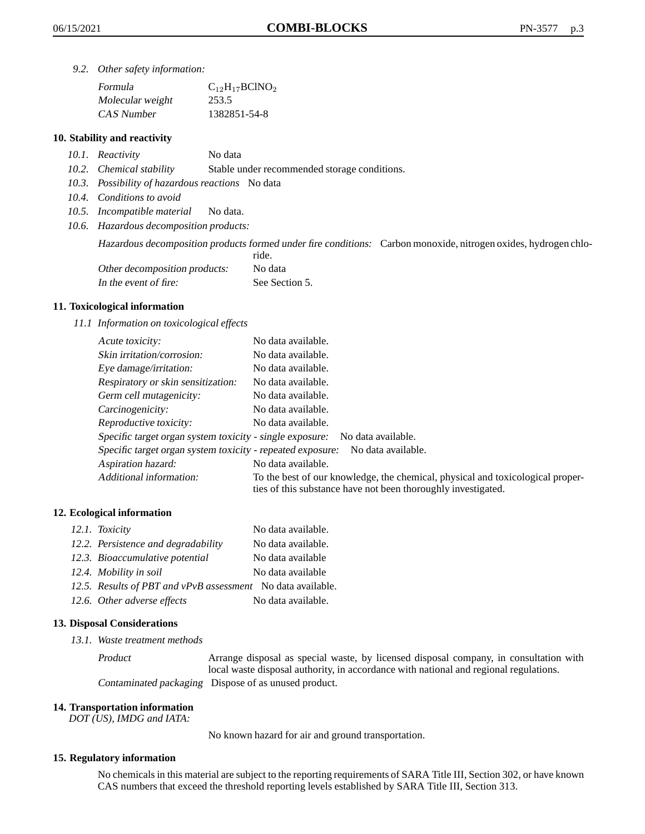*9.2. Other safety information:*

| Formula          | $C_{12}H_{17}BCINO_2$ |
|------------------|-----------------------|
| Molecular weight | 253.5                 |
| CAS Number       | 1382851-54-8          |

#### **10. Stability and reactivity**

- *10.1. Reactivity* No data
- *10.2. Chemical stability* Stable under recommended storage conditions.
- *10.3. Possibility of hazardous reactions* No data
- *10.4. Conditions to avoid*
- *10.5. Incompatible material* No data.
- *10.6. Hazardous decomposition products:*

Hazardous decomposition products formed under fire conditions: Carbon monoxide, nitrogen oxides, hydrogen chlo-

|                               | ride.          |
|-------------------------------|----------------|
| Other decomposition products: | No data        |
| In the event of fire:         | See Section 5. |

#### **11. Toxicological information**

*11.1 Information on toxicological effects*

| Acute toxicity:                                            | No data available.                                                                                                                              |
|------------------------------------------------------------|-------------------------------------------------------------------------------------------------------------------------------------------------|
| Skin irritation/corrosion:                                 | No data available.                                                                                                                              |
| Eye damage/irritation:                                     | No data available.                                                                                                                              |
| Respiratory or skin sensitization:                         | No data available.                                                                                                                              |
| Germ cell mutagenicity:                                    | No data available.                                                                                                                              |
| Carcinogenicity:                                           | No data available.                                                                                                                              |
| Reproductive toxicity:                                     | No data available.                                                                                                                              |
| Specific target organ system toxicity - single exposure:   | No data available.                                                                                                                              |
| Specific target organ system toxicity - repeated exposure: | No data available.                                                                                                                              |
| Aspiration hazard:                                         | No data available.                                                                                                                              |
| Additional information:                                    | To the best of our knowledge, the chemical, physical and toxicological proper-<br>ties of this substance have not been thoroughly investigated. |

#### **12. Ecological information**

| 12.1. Toxicity                                              | No data available. |
|-------------------------------------------------------------|--------------------|
| 12.2. Persistence and degradability                         | No data available. |
| 12.3. Bioaccumulative potential                             | No data available  |
| 12.4. Mobility in soil                                      | No data available  |
| 12.5. Results of PBT and vPvB assessment No data available. |                    |
| 12.6. Other adverse effects                                 | No data available. |

#### **13. Disposal Considerations**

*13.1. Waste treatment methods*

Product Arrange disposal as special waste, by licensed disposal company, in consultation with local waste disposal authority, in accordance with national and regional regulations. Contaminated packaging Dispose of as unused product.

#### **14. Transportation information**

*DOT (US), IMDG and IATA:*

No known hazard for air and ground transportation.

#### **15. Regulatory information**

No chemicals in this material are subject to the reporting requirements of SARA Title III, Section 302, or have known CAS numbers that exceed the threshold reporting levels established by SARA Title III, Section 313.